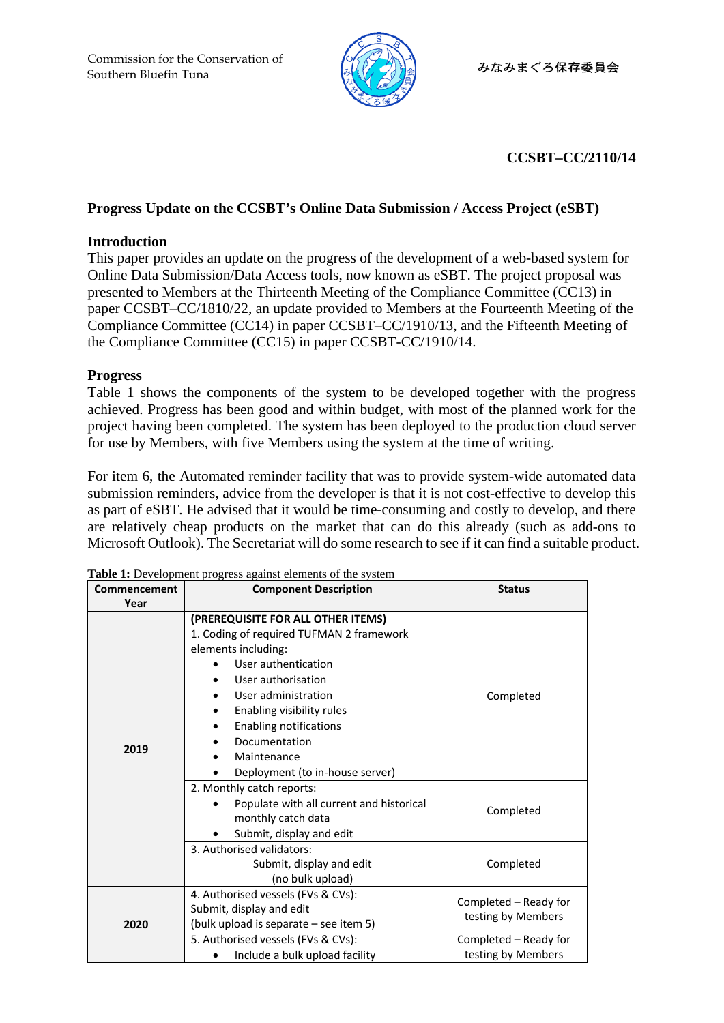

# **CCSBT–CC/2110/14**

## **Progress Update on the CCSBT's Online Data Submission / Access Project (eSBT)**

#### **Introduction**

This paper provides an update on the progress of the development of a web-based system for Online Data Submission/Data Access tools, now known as eSBT. The project proposal was presented to Members at the Thirteenth Meeting of the Compliance Committee (CC13) in paper CCSBT–CC/1810/22, an update provided to Members at the Fourteenth Meeting of the Compliance Committee (CC14) in paper CCSBT–CC/1910/13, and the Fifteenth Meeting of the Compliance Committee (CC15) in paper CCSBT-CC/1910/14.

## **Progress**

Table 1 shows the components of the system to be developed together with the progress achieved. Progress has been good and within budget, with most of the planned work for the project having been completed. The system has been deployed to the production cloud server for use by Members, with five Members using the system at the time of writing.

For item 6, the Automated reminder facility that was to provide system-wide automated data submission reminders, advice from the developer is that it is not cost-effective to develop this as part of eSBT. He advised that it would be time-consuming and costly to develop, and there are relatively cheap products on the market that can do this already (such as add-ons to Microsoft Outlook). The Secretariat will do some research to see if it can find a suitable product.

| Commencement | <b>Component Description</b>                                                                                                                                                                                                                                                                                                                                   | <b>Status</b>                                                        |  |
|--------------|----------------------------------------------------------------------------------------------------------------------------------------------------------------------------------------------------------------------------------------------------------------------------------------------------------------------------------------------------------------|----------------------------------------------------------------------|--|
| Year         |                                                                                                                                                                                                                                                                                                                                                                |                                                                      |  |
| 2019         | (PREREQUISITE FOR ALL OTHER ITEMS)<br>1. Coding of required TUFMAN 2 framework<br>elements including:<br>User authentication<br>User authorisation<br>$\bullet$<br>User administration<br>$\bullet$<br>Enabling visibility rules<br>$\bullet$<br><b>Enabling notifications</b><br>$\bullet$<br>Documentation<br>Maintenance<br>Deployment (to in-house server) | Completed                                                            |  |
|              | 2. Monthly catch reports:<br>Populate with all current and historical<br>monthly catch data<br>Submit, display and edit                                                                                                                                                                                                                                        | Completed                                                            |  |
|              | 3. Authorised validators:<br>Submit, display and edit<br>(no bulk upload)                                                                                                                                                                                                                                                                                      | Completed                                                            |  |
| 2020         | 4. Authorised vessels (FVs & CVs):<br>Submit, display and edit<br>(bulk upload is separate – see item 5)<br>5. Authorised vessels (FVs & CVs):                                                                                                                                                                                                                 | Completed – Ready for<br>testing by Members<br>Completed - Ready for |  |
|              | Include a bulk upload facility                                                                                                                                                                                                                                                                                                                                 | testing by Members                                                   |  |

**Table 1:** Development progress against elements of the system